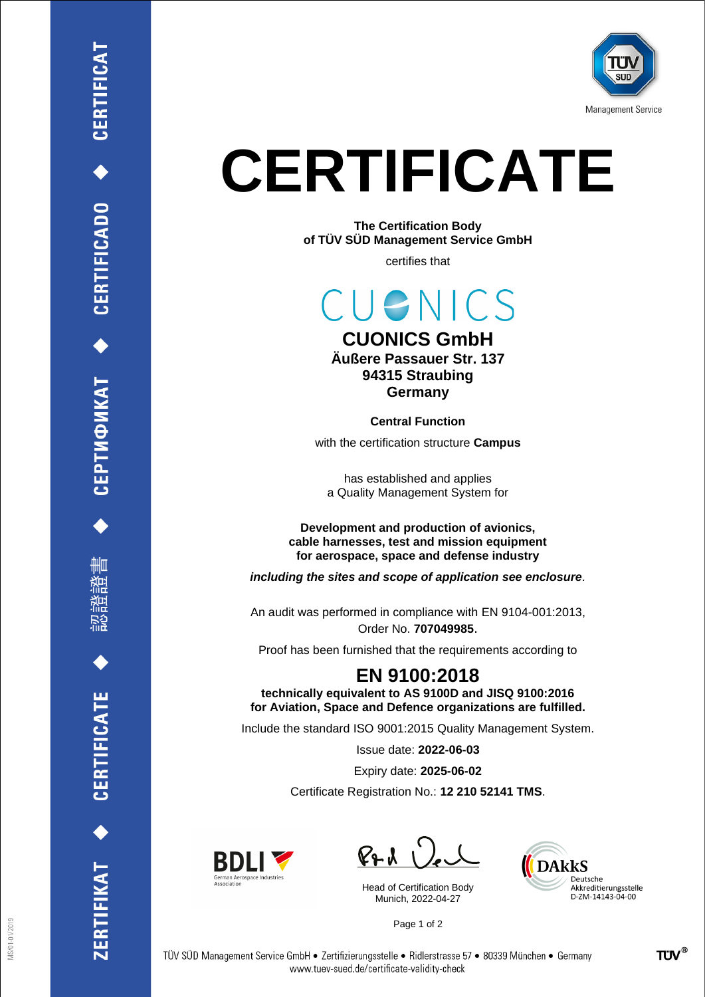

## **CERTIFICATE**

**The Certification Body of TÜV SÜD Management Service GmbH**

certifies that

CUENICS

## **CUONICS GmbH Äußere Passauer Str. 137 94315 Straubing Germany**

**Central Function** with the certification structure **Campus**

has established and applies a Quality Management System for

**Development and production of avionics, cable harnesses, test and mission equipment for aerospace, space and defense industry**

*including the sites and scope of application see enclosure.*

An audit was performed in compliance with EN 9104-001:2013, Order No. **707049985**.

Proof has been furnished that the requirements according to

## **EN 9100:2018**

**technically equivalent to AS 9100D and JISQ 9100:2016 for Aviation, Space and Defence organizations are fulfilled.**

Include the standard ISO 9001:2015 Quality Management System.

Issue date: **2022-06-03**

Expiry date: **2025-06-02**

Certificate Registration No.: **12 210 52141 TMS**.



 $PAU$ 

Head of Certification Body Munich, 2022-04-27



Page 1 of 2



ERTIFIKAT